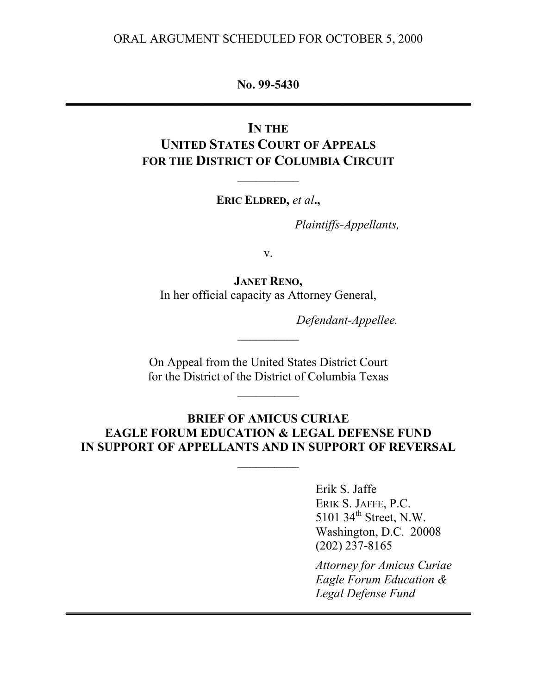#### ORAL ARGUMENT SCHEDULED FOR OCTOBER 5, 2000

#### **No. 99-5430 \_\_\_\_\_\_\_\_\_\_\_\_\_\_\_\_\_\_\_\_\_\_\_\_\_\_\_\_\_\_\_\_\_\_\_\_\_\_\_\_\_\_\_\_\_\_\_\_\_\_\_\_\_\_\_\_\_\_\_\_\_\_\_\_\_\_**

## **IN THE UNITED STATES COURT OF APPEALS FOR THE DISTRICT OF COLUMBIA CIRCUIT**

**ERIC ELDRED,** *et al***.,**

 $\frac{1}{2}$ 

*Plaintiffs-Appellants,*

v.

**JANET RENO,** In her official capacity as Attorney General,

*Defendant-Appellee.*

On Appeal from the United States District Court for the District of the District of Columbia Texas

### **BRIEF OF AMICUS CURIAE EAGLE FORUM EDUCATION & LEGAL DEFENSE FUND IN SUPPORT OF APPELLANTS AND IN SUPPORT OF REVERSAL**

 $\frac{1}{2}$ 

**\_\_\_\_\_\_\_\_\_\_\_\_\_\_\_\_\_\_\_\_\_\_\_\_\_\_\_\_\_\_\_\_\_\_\_\_\_\_\_\_\_\_\_\_\_\_\_\_\_\_\_\_\_\_\_\_\_\_\_\_\_\_\_\_\_\_**

Erik S. Jaffe ERIK S. JAFFE, P.C. 5101 34<sup>th</sup> Street, N.W. Washington, D.C. 20008 (202) 237-8165

*Attorney for Amicus Curiae Eagle Forum Education & Legal Defense Fund*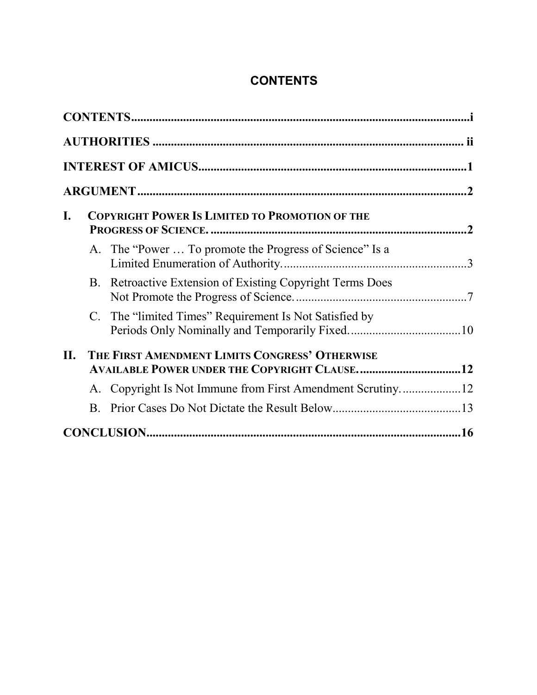# **CONTENTS**

| I.  | <b>COPYRIGHT POWER IS LIMITED TO PROMOTION OF THE</b>                                                 |                                                           |  |  |  |
|-----|-------------------------------------------------------------------------------------------------------|-----------------------------------------------------------|--|--|--|
|     |                                                                                                       | A. The "Power  To promote the Progress of Science" Is a   |  |  |  |
|     |                                                                                                       | B. Retroactive Extension of Existing Copyright Terms Does |  |  |  |
|     |                                                                                                       | C. The "limited Times" Requirement Is Not Satisfied by    |  |  |  |
| II. | THE FIRST AMENDMENT LIMITS CONGRESS' OTHERWISE<br><b>AVAILABLE POWER UNDER THE COPYRIGHT CLAUSE12</b> |                                                           |  |  |  |
|     |                                                                                                       |                                                           |  |  |  |
|     | <b>B</b> .                                                                                            |                                                           |  |  |  |
|     |                                                                                                       |                                                           |  |  |  |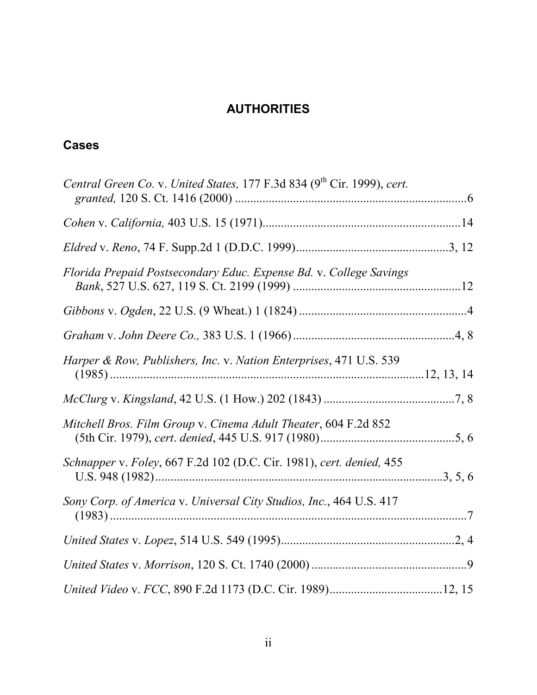## **AUTHORITIES**

## <span id="page-2-0"></span>**Cases**

| Central Green Co. v. United States, 177 F.3d 834 (9 <sup>th</sup> Cir. 1999), cert. |  |
|-------------------------------------------------------------------------------------|--|
|                                                                                     |  |
|                                                                                     |  |
| Florida Prepaid Postsecondary Educ. Expense Bd. v. College Savings                  |  |
|                                                                                     |  |
|                                                                                     |  |
| Harper & Row, Publishers, Inc. v. Nation Enterprises, 471 U.S. 539                  |  |
|                                                                                     |  |
| Mitchell Bros. Film Group v. Cinema Adult Theater, 604 F.2d 852                     |  |
| Schnapper v. Foley, 667 F.2d 102 (D.C. Cir. 1981), cert. denied, 455                |  |
| Sony Corp. of America v. Universal City Studios, Inc., 464 U.S. 417                 |  |
|                                                                                     |  |
|                                                                                     |  |
|                                                                                     |  |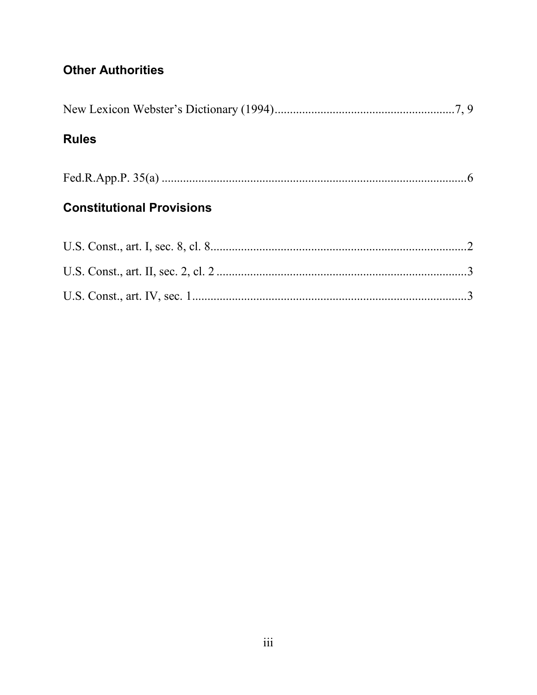## **Other Authorities**

## **Rules**

## **Constitutional Provisions**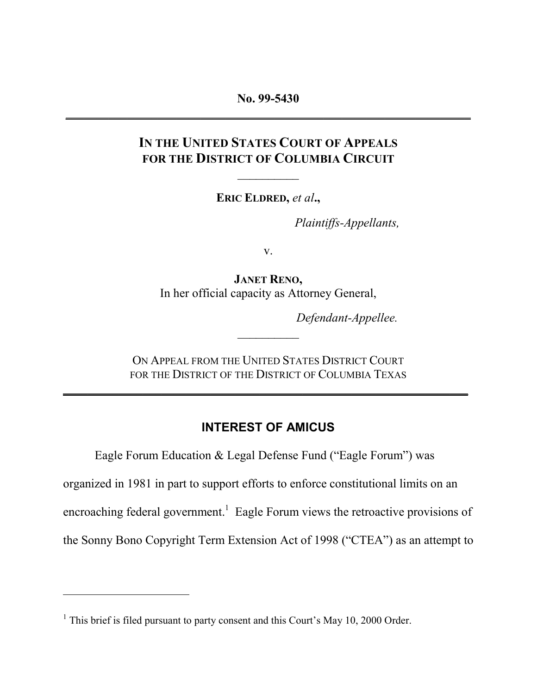<span id="page-4-0"></span>**No. 99-5430 \_\_\_\_\_\_\_\_\_\_\_\_\_\_\_\_\_\_\_\_\_\_\_\_\_\_\_\_\_\_\_\_\_\_\_\_\_\_\_\_\_\_\_\_\_\_\_\_\_\_\_\_\_\_\_\_\_\_\_\_\_\_\_\_\_\_**

## **IN THE UNITED STATES COURT OF APPEALS FOR THE DISTRICT OF COLUMBIA CIRCUIT**

 $\frac{1}{2}$ 

**ERIC ELDRED,** *et al***.,**

*Plaintiffs-Appellants,*

v.

**JANET RENO,** In her official capacity as Attorney General,

*Defendant-Appellee.*

ON APPEAL FROM THE UNITED STATES DISTRICT COURT FOR THE DISTRICT OF THE DISTRICT OF COLUMBIA TEXAS

**\_\_\_\_\_\_\_\_\_\_\_\_\_\_\_\_\_\_\_\_\_\_\_\_\_\_\_\_\_\_\_\_\_\_\_\_\_\_\_\_\_\_\_\_\_\_\_\_\_\_\_\_\_\_\_\_\_\_\_\_\_\_\_\_\_\_**

### **INTEREST OF AMICUS**

Eagle Forum Education & Legal Defense Fund ("Eagle Forum") was

organized in 1981 in part to support efforts to enforce constitutional limits on an

encroaching federal government.<sup>1</sup> Eagle Forum views the retroactive provisions of

the Sonny Bono Copyright Term Extension Act of 1998 ("CTEA") as an attempt to

 $\overline{a}$ 

 $1$  This brief is filed pursuant to party consent and this Court's May 10, 2000 Order.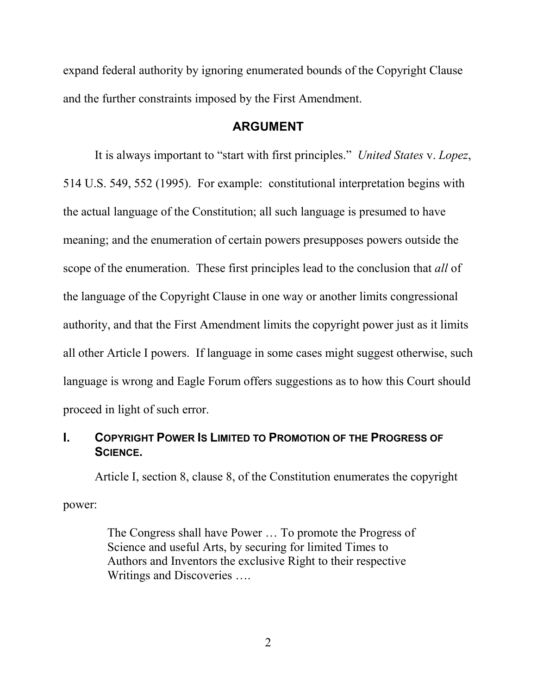<span id="page-5-0"></span>expand federal authority by ignoring enumerated bounds of the Copyright Clause and the further constraints imposed by the First Amendment.

#### **ARGUMENT**

It is always important to "start with first principles." *United States* v. *Lopez*, 514 U.S. 549, 552 (1995). For example: constitutional interpretation begins with the actual language of the Constitution; all such language is presumed to have meaning; and the enumeration of certain powers presupposes powers outside the scope of the enumeration. These first principles lead to the conclusion that *all* of the language of the Copyright Clause in one way or another limits congressional authority, and that the First Amendment limits the copyright power just as it limits all other Article I powers. If language in some cases might suggest otherwise, such language is wrong and Eagle Forum offers suggestions as to how this Court should proceed in light of such error.

### **I. COPYRIGHT POWER IS LIMITED TO PROMOTION OF THE PROGRESS OF SCIENCE.**

Article I, section 8, clause 8, of the Constitution enumerates the copyright power:

> The Congress shall have Power … To promote the Progress of Science and useful Arts, by securing for limited Times to Authors and Inventors the exclusive Right to their respective Writings and Discoveries ….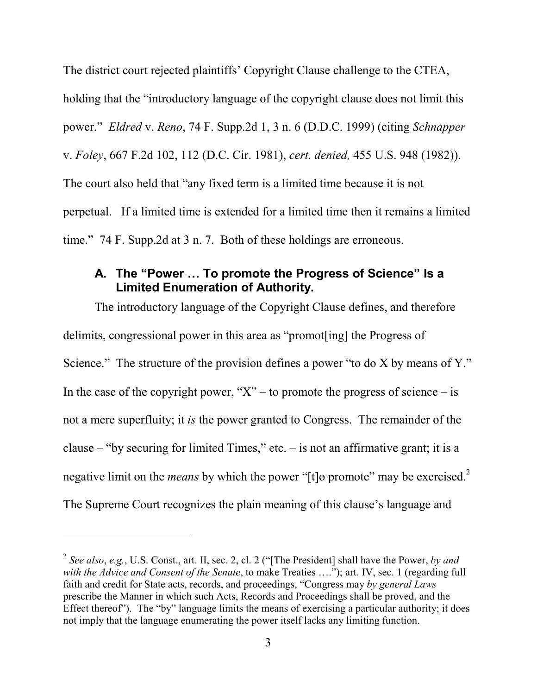<span id="page-6-0"></span>The district court rejected plaintiffs' Copyright Clause challenge to the CTEA, holding that the "introductory language of the copyright clause does not limit this power." *Eldred* v. *Reno*, 74 F. Supp.2d 1, 3 n. 6 (D.D.C. 1999) (citing *Schnapper* v. *Foley*, 667 F.2d 102, 112 (D.C. Cir. 1981), *cert. denied,* 455 U.S. 948 (1982)). The court also held that "any fixed term is a limited time because it is not perpetual. If a limited time is extended for a limited time then it remains a limited time." 74 F. Supp.2d at 3 n. 7. Both of these holdings are erroneous.

### **A. The "Power … To promote the Progress of Science" Is a Limited Enumeration of Authority.**

The introductory language of the Copyright Clause defines, and therefore delimits, congressional power in this area as "promot[ing] the Progress of Science." The structure of the provision defines a power "to do X by means of Y." In the case of the copyright power, " $X$ " – to promote the progress of science – is not a mere superfluity; it *is* the power granted to Congress. The remainder of the clause – "by securing for limited Times," etc. – is not an affirmative grant; it is a negative limit on the *means* by which the power "[t]o promote" may be exercised.<sup>2</sup> The Supreme Court recognizes the plain meaning of this clause's language and

 $\overline{a}$ 

<sup>2</sup> *See also*, *e.g.*, U.S. Const., art. II, sec. 2, cl. 2 ("[The President] shall have the Power, *by and with the Advice and Consent of the Senate*, to make Treaties …."); art. IV, sec. 1 (regarding full faith and credit for State acts, records, and proceedings, "Congress may *by general Laws* prescribe the Manner in which such Acts, Records and Proceedings shall be proved, and the Effect thereof"). The "by" language limits the means of exercising a particular authority; it does not imply that the language enumerating the power itself lacks any limiting function.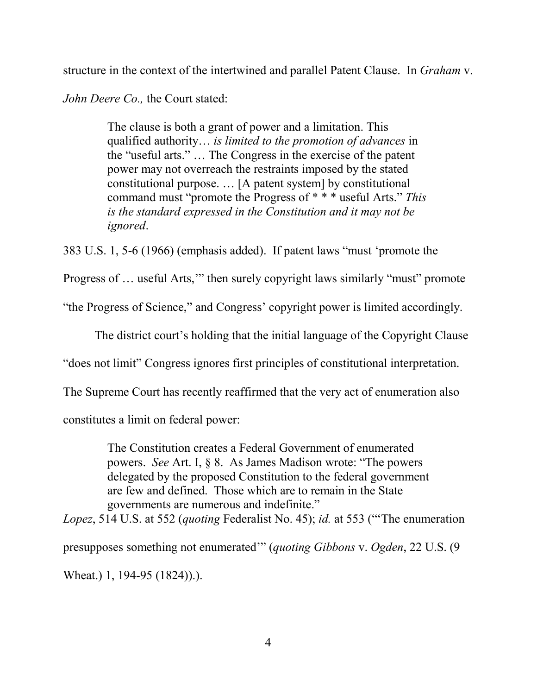structure in the context of the intertwined and parallel Patent Clause. In *Graham* v.

*John Deere Co.,* the Court stated:

The clause is both a grant of power and a limitation. This qualified authority… *is limited to the promotion of advances* in the "useful arts." … The Congress in the exercise of the patent power may not overreach the restraints imposed by the stated constitutional purpose. … [A patent system] by constitutional command must "promote the Progress of \* \* \* useful Arts." *This is the standard expressed in the Constitution and it may not be ignored*.

383 U.S. 1, 5-6 (1966) (emphasis added). If patent laws "must 'promote the

Progress of … useful Arts,'" then surely copyright laws similarly "must" promote

"the Progress of Science," and Congress' copyright power is limited accordingly.

The district court's holding that the initial language of the Copyright Clause

"does not limit" Congress ignores first principles of constitutional interpretation.

The Supreme Court has recently reaffirmed that the very act of enumeration also

constitutes a limit on federal power:

The Constitution creates a Federal Government of enumerated powers. *See* Art. I, § 8. As James Madison wrote: "The powers delegated by the proposed Constitution to the federal government are few and defined. Those which are to remain in the State governments are numerous and indefinite."

*Lopez*, 514 U.S. at 552 (*quoting* Federalist No. 45); *id.* at 553 ("'The enumeration presupposes something not enumerated'" (*quoting Gibbons* v. *Ogden*, 22 U.S. (9

Wheat.) 1, 194-95 (1824)).).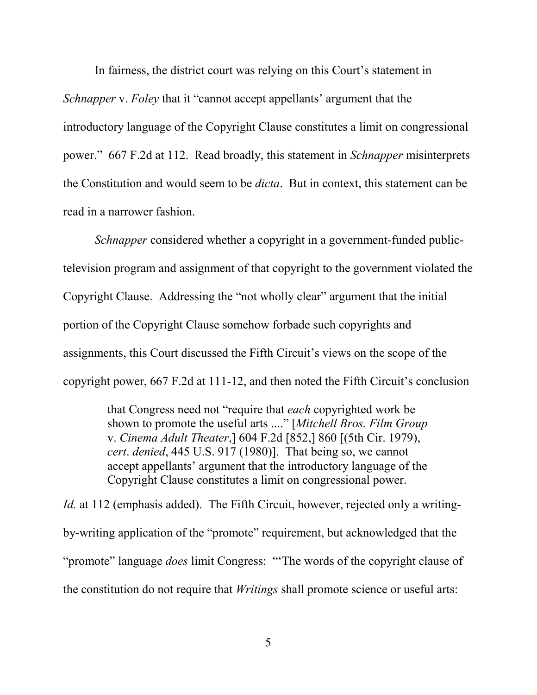In fairness, the district court was relying on this Court's statement in *Schnapper* v. *Foley* that it "cannot accept appellants' argument that the introductory language of the Copyright Clause constitutes a limit on congressional power." 667 F.2d at 112. Read broadly, this statement in *Schnapper* misinterprets the Constitution and would seem to be *dicta*. But in context, this statement can be read in a narrower fashion.

*Schnapper* considered whether a copyright in a government-funded publictelevision program and assignment of that copyright to the government violated the Copyright Clause. Addressing the "not wholly clear" argument that the initial portion of the Copyright Clause somehow forbade such copyrights and assignments, this Court discussed the Fifth Circuit's views on the scope of the copyright power, 667 F.2d at 111-12, and then noted the Fifth Circuit's conclusion

> that Congress need not "require that *each* copyrighted work be shown to promote the useful arts ...." [*Mitchell Bros. Film Group* v. *Cinema Adult Theater*,] 604 F.2d [852,] 860 [(5th Cir. 1979), *cert*. *denied*, 445 U.S. 917 (1980)]. That being so, we cannot accept appellants' argument that the introductory language of the Copyright Clause constitutes a limit on congressional power.

*Id.* at 112 (emphasis added). The Fifth Circuit, however, rejected only a writingby-writing application of the "promote" requirement, but acknowledged that the "promote" language *does* limit Congress: "'The words of the copyright clause of the constitution do not require that *Writings* shall promote science or useful arts: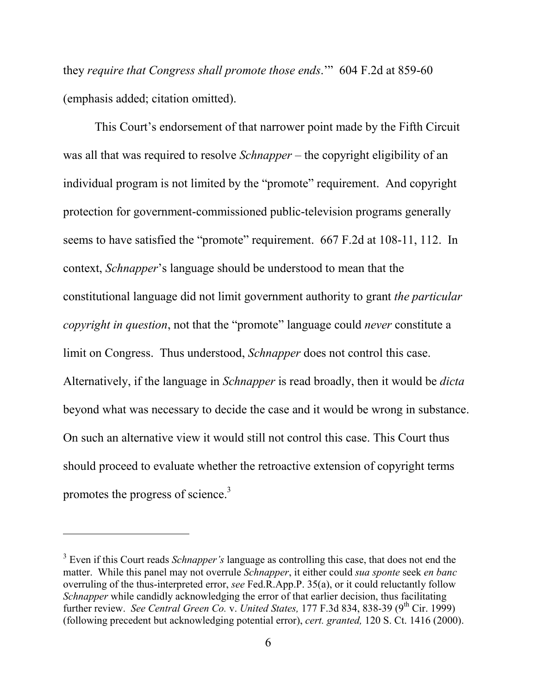they *require that Congress shall promote those ends*.'" 604 F.2d at 859-60 (emphasis added; citation omitted).

This Court's endorsement of that narrower point made by the Fifth Circuit was all that was required to resolve *Schnapper* – the copyright eligibility of an individual program is not limited by the "promote" requirement. And copyright protection for government-commissioned public-television programs generally seems to have satisfied the "promote" requirement. 667 F.2d at 108-11, 112. In context, *Schnapper*'s language should be understood to mean that the constitutional language did not limit government authority to grant *the particular copyright in question*, not that the "promote" language could *never* constitute a limit on Congress. Thus understood, *Schnapper* does not control this case. Alternatively, if the language in *Schnapper* is read broadly, then it would be *dicta* beyond what was necessary to decide the case and it would be wrong in substance. On such an alternative view it would still not control this case. This Court thus should proceed to evaluate whether the retroactive extension of copyright terms promotes the progress of science.<sup>3</sup>

 $\overline{a}$ 

<sup>&</sup>lt;sup>3</sup> Even if this Court reads *Schnapper's* language as controlling this case, that does not end the matter. While this panel may not overrule *Schnapper*, it either could *sua sponte* seek *en banc* overruling of the thus-interpreted error, *see* Fed.R.App.P. 35(a), or it could reluctantly follow *Schnapper* while candidly acknowledging the error of that earlier decision, thus facilitating further review. *See Central Green Co. v. United States,* 177 F.3d 834, 838-39 (9<sup>th</sup> Cir. 1999) (following precedent but acknowledging potential error), *cert. granted,* 120 S. Ct. 1416 (2000).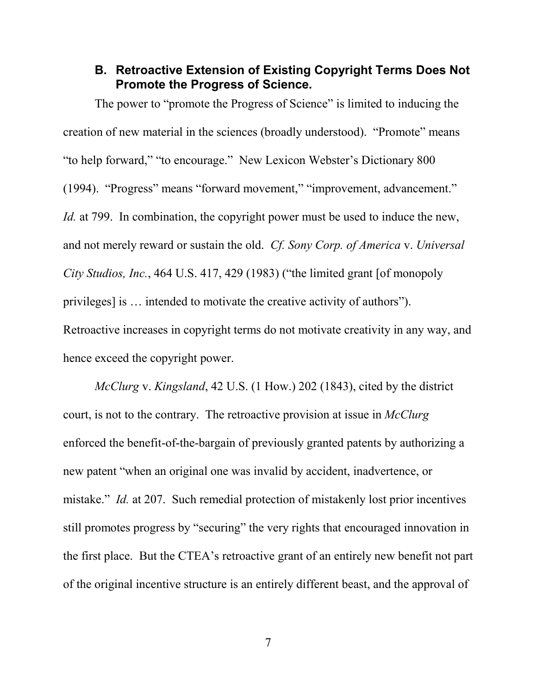### <span id="page-10-0"></span>**B. Retroactive Extension of Existing Copyright Terms Does Not Promote the Progress of Science.**

The power to "promote the Progress of Science" is limited to inducing the creation of new material in the sciences (broadly understood). "Promote" means "to help forward," "to encourage." New Lexicon Webster's Dictionary 800 (1994). "Progress" means "forward movement," "improvement, advancement." *Id.* at 799. In combination, the copyright power must be used to induce the new, and not merely reward or sustain the old. *Cf. Sony Corp. of America* v. *Universal City Studios, Inc.*, 464 U.S. 417, 429 (1983) ("the limited grant [of monopoly privileges] is … intended to motivate the creative activity of authors"). Retroactive increases in copyright terms do not motivate creativity in any way, and hence exceed the copyright power.

*McClurg* v. *Kingsland*, 42 U.S. (1 How.) 202 (1843), cited by the district court, is not to the contrary. The retroactive provision at issue in *McClurg* enforced the benefit-of-the-bargain of previously granted patents by authorizing a new patent "when an original one was invalid by accident, inadvertence, or mistake." *Id.* at 207. Such remedial protection of mistakenly lost prior incentives still promotes progress by "securing" the very rights that encouraged innovation in the first place. But the CTEA's retroactive grant of an entirely new benefit not part of the original incentive structure is an entirely different beast, and the approval of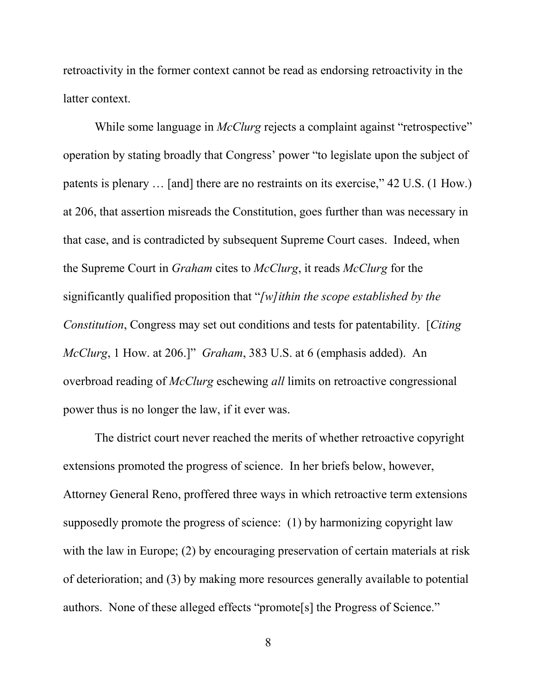retroactivity in the former context cannot be read as endorsing retroactivity in the latter context.

While some language in *McClurg* rejects a complaint against "retrospective" operation by stating broadly that Congress' power "to legislate upon the subject of patents is plenary … [and] there are no restraints on its exercise," 42 U.S. (1 How.) at 206, that assertion misreads the Constitution, goes further than was necessary in that case, and is contradicted by subsequent Supreme Court cases. Indeed, when the Supreme Court in *Graham* cites to *McClurg*, it reads *McClurg* for the significantly qualified proposition that "*[w]ithin the scope established by the Constitution*, Congress may set out conditions and tests for patentability. [*Citing McClurg*, 1 How. at 206.]" *Graham*, 383 U.S. at 6 (emphasis added). An overbroad reading of *McClurg* eschewing *all* limits on retroactive congressional power thus is no longer the law, if it ever was.

The district court never reached the merits of whether retroactive copyright extensions promoted the progress of science. In her briefs below, however, Attorney General Reno, proffered three ways in which retroactive term extensions supposedly promote the progress of science: (1) by harmonizing copyright law with the law in Europe; (2) by encouraging preservation of certain materials at risk of deterioration; and (3) by making more resources generally available to potential authors. None of these alleged effects "promote[s] the Progress of Science."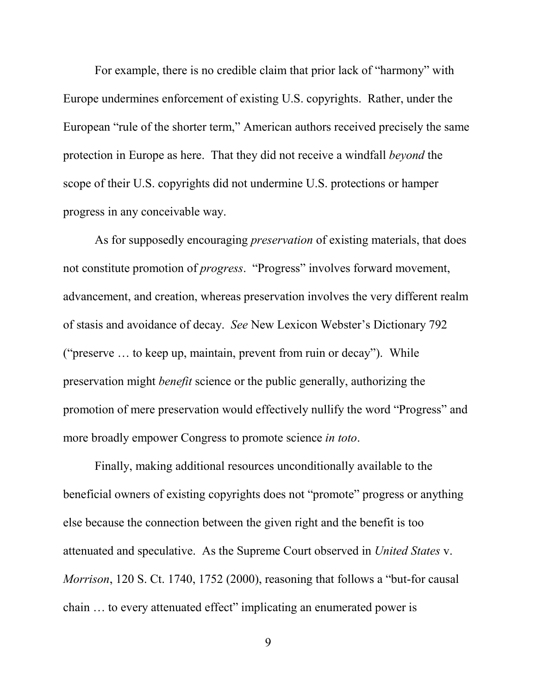For example, there is no credible claim that prior lack of "harmony" with Europe undermines enforcement of existing U.S. copyrights. Rather, under the European "rule of the shorter term," American authors received precisely the same protection in Europe as here. That they did not receive a windfall *beyond* the scope of their U.S. copyrights did not undermine U.S. protections or hamper progress in any conceivable way.

As for supposedly encouraging *preservation* of existing materials, that does not constitute promotion of *progress*. "Progress" involves forward movement, advancement, and creation, whereas preservation involves the very different realm of stasis and avoidance of decay. *See* New Lexicon Webster's Dictionary 792 ("preserve … to keep up, maintain, prevent from ruin or decay"). While preservation might *benefit* science or the public generally, authorizing the promotion of mere preservation would effectively nullify the word "Progress" and more broadly empower Congress to promote science *in toto*.

Finally, making additional resources unconditionally available to the beneficial owners of existing copyrights does not "promote" progress or anything else because the connection between the given right and the benefit is too attenuated and speculative. As the Supreme Court observed in *United States* v. *Morrison*, 120 S. Ct. 1740, 1752 (2000), reasoning that follows a "but-for causal chain … to every attenuated effect" implicating an enumerated power is

9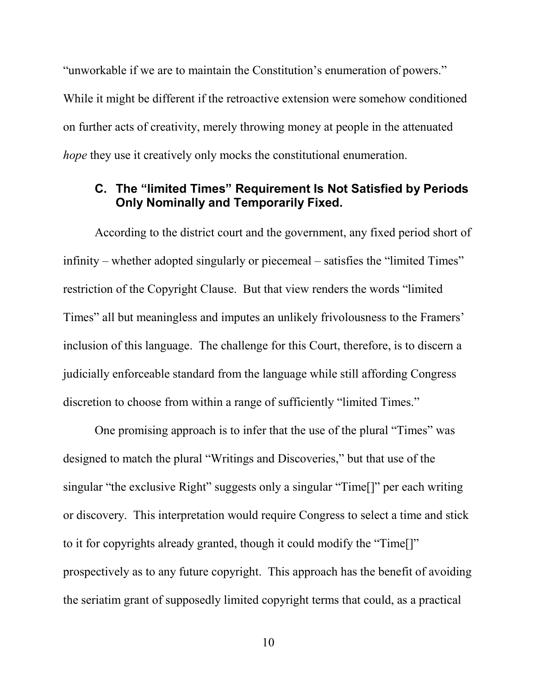<span id="page-13-0"></span>"unworkable if we are to maintain the Constitution's enumeration of powers." While it might be different if the retroactive extension were somehow conditioned on further acts of creativity, merely throwing money at people in the attenuated *hope* they use it creatively only mocks the constitutional enumeration.

### **C. The "limited Times" Requirement Is Not Satisfied by Periods Only Nominally and Temporarily Fixed.**

According to the district court and the government, any fixed period short of infinity – whether adopted singularly or piecemeal – satisfies the "limited Times" restriction of the Copyright Clause. But that view renders the words "limited Times" all but meaningless and imputes an unlikely frivolousness to the Framers' inclusion of this language. The challenge for this Court, therefore, is to discern a judicially enforceable standard from the language while still affording Congress discretion to choose from within a range of sufficiently "limited Times."

One promising approach is to infer that the use of the plural "Times" was designed to match the plural "Writings and Discoveries," but that use of the singular "the exclusive Right" suggests only a singular "Time<sup>[]"</sup> per each writing or discovery. This interpretation would require Congress to select a time and stick to it for copyrights already granted, though it could modify the "Time[]" prospectively as to any future copyright. This approach has the benefit of avoiding the seriatim grant of supposedly limited copyright terms that could, as a practical

10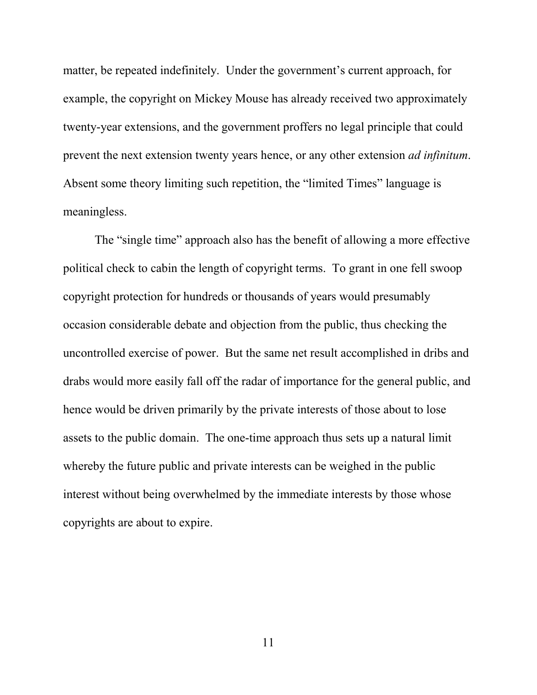matter, be repeated indefinitely. Under the government's current approach, for example, the copyright on Mickey Mouse has already received two approximately twenty-year extensions, and the government proffers no legal principle that could prevent the next extension twenty years hence, or any other extension *ad infinitum*. Absent some theory limiting such repetition, the "limited Times" language is meaningless.

The "single time" approach also has the benefit of allowing a more effective political check to cabin the length of copyright terms. To grant in one fell swoop copyright protection for hundreds or thousands of years would presumably occasion considerable debate and objection from the public, thus checking the uncontrolled exercise of power. But the same net result accomplished in dribs and drabs would more easily fall off the radar of importance for the general public, and hence would be driven primarily by the private interests of those about to lose assets to the public domain. The one-time approach thus sets up a natural limit whereby the future public and private interests can be weighed in the public interest without being overwhelmed by the immediate interests by those whose copyrights are about to expire.

11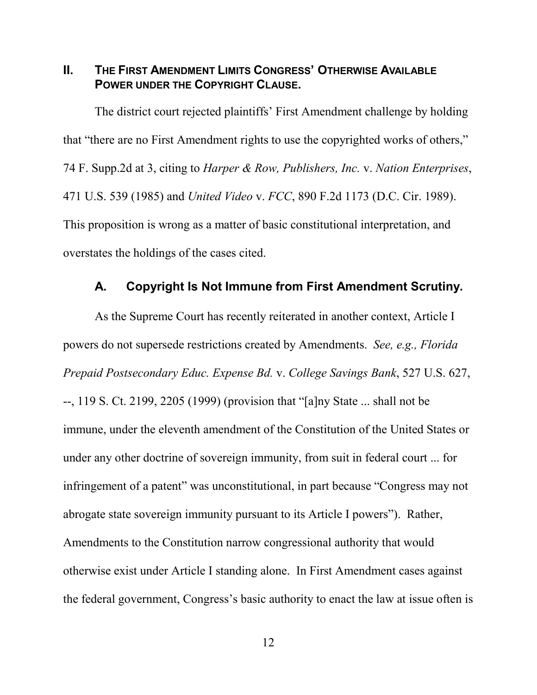<span id="page-15-0"></span>**II. THE FIRST AMENDMENT LIMITS CONGRESS' OTHERWISE AVAILABLE POWER UNDER THE COPYRIGHT CLAUSE.**

The district court rejected plaintiffs' First Amendment challenge by holding that "there are no First Amendment rights to use the copyrighted works of others," 74 F. Supp.2d at 3, citing to *Harper & Row, Publishers, Inc.* v. *Nation Enterprises*, 471 U.S. 539 (1985) and *United Video* v. *FCC*, 890 F.2d 1173 (D.C. Cir. 1989). This proposition is wrong as a matter of basic constitutional interpretation, and overstates the holdings of the cases cited.

#### **A. Copyright Is Not Immune from First Amendment Scrutiny.**

As the Supreme Court has recently reiterated in another context, Article I powers do not supersede restrictions created by Amendments. *See, e.g., Florida Prepaid Postsecondary Educ. Expense Bd.* v. *College Savings Bank*, 527 U.S. 627, --, 119 S. Ct. 2199, 2205 (1999) (provision that "[a]ny State ... shall not be immune, under the eleventh amendment of the Constitution of the United States or under any other doctrine of sovereign immunity, from suit in federal court ... for infringement of a patent" was unconstitutional, in part because "Congress may not abrogate state sovereign immunity pursuant to its Article I powers"). Rather, Amendments to the Constitution narrow congressional authority that would otherwise exist under Article I standing alone. In First Amendment cases against the federal government, Congress's basic authority to enact the law at issue often is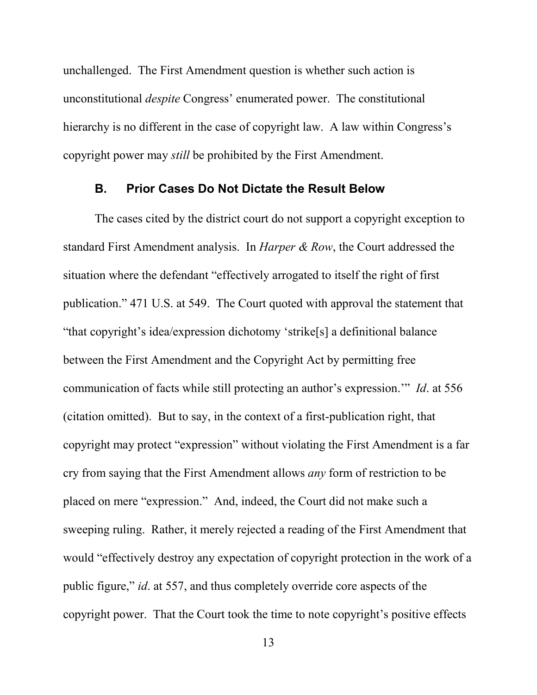<span id="page-16-0"></span>unchallenged. The First Amendment question is whether such action is unconstitutional *despite* Congress' enumerated power. The constitutional hierarchy is no different in the case of copyright law. A law within Congress's copyright power may *still* be prohibited by the First Amendment.

#### **B. Prior Cases Do Not Dictate the Result Below**

The cases cited by the district court do not support a copyright exception to standard First Amendment analysis. In *Harper & Row*, the Court addressed the situation where the defendant "effectively arrogated to itself the right of first publication." 471 U.S. at 549. The Court quoted with approval the statement that "that copyright's idea/expression dichotomy 'strike[s] a definitional balance between the First Amendment and the Copyright Act by permitting free communication of facts while still protecting an author's expression.'" *Id*. at 556 (citation omitted). But to say, in the context of a first-publication right, that copyright may protect "expression" without violating the First Amendment is a far cry from saying that the First Amendment allows *any* form of restriction to be placed on mere "expression." And, indeed, the Court did not make such a sweeping ruling. Rather, it merely rejected a reading of the First Amendment that would "effectively destroy any expectation of copyright protection in the work of a public figure," *id*. at 557, and thus completely override core aspects of the copyright power. That the Court took the time to note copyright's positive effects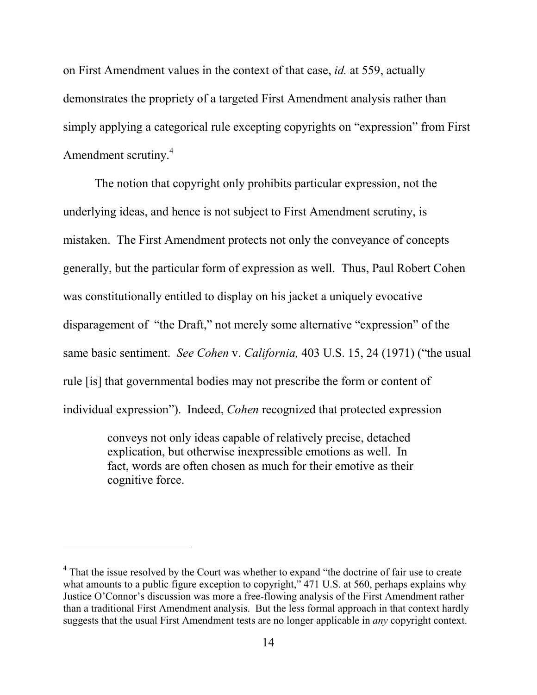on First Amendment values in the context of that case, *id.* at 559, actually demonstrates the propriety of a targeted First Amendment analysis rather than simply applying a categorical rule excepting copyrights on "expression" from First Amendment scrutiny.<sup>4</sup>

The notion that copyright only prohibits particular expression, not the underlying ideas, and hence is not subject to First Amendment scrutiny, is mistaken. The First Amendment protects not only the conveyance of concepts generally, but the particular form of expression as well. Thus, Paul Robert Cohen was constitutionally entitled to display on his jacket a uniquely evocative disparagement of "the Draft," not merely some alternative "expression" of the same basic sentiment. *See Cohen* v. *California,* 403 U.S. 15, 24 (1971) ("the usual rule [is] that governmental bodies may not prescribe the form or content of individual expression"). Indeed, *Cohen* recognized that protected expression

> conveys not only ideas capable of relatively precise, detached explication, but otherwise inexpressible emotions as well. In fact, words are often chosen as much for their emotive as their cognitive force.

 $\overline{a}$ 

<sup>&</sup>lt;sup>4</sup> That the issue resolved by the Court was whether to expand "the doctrine of fair use to create what amounts to a public figure exception to copyright," 471 U.S. at 560, perhaps explains why Justice O'Connor's discussion was more a free-flowing analysis of the First Amendment rather than a traditional First Amendment analysis. But the less formal approach in that context hardly suggests that the usual First Amendment tests are no longer applicable in *any* copyright context.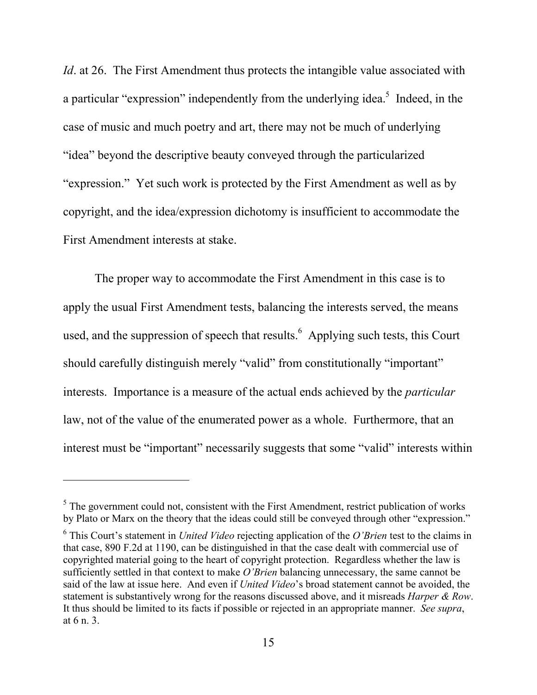*Id.* at 26. The First Amendment thus protects the intangible value associated with a particular "expression" independently from the underlying idea.<sup>5</sup> Indeed, in the case of music and much poetry and art, there may not be much of underlying "idea" beyond the descriptive beauty conveyed through the particularized "expression." Yet such work is protected by the First Amendment as well as by copyright, and the idea/expression dichotomy is insufficient to accommodate the First Amendment interests at stake.

The proper way to accommodate the First Amendment in this case is to apply the usual First Amendment tests, balancing the interests served, the means used, and the suppression of speech that results. Applying such tests, this Court should carefully distinguish merely "valid" from constitutionally "important" interests. Importance is a measure of the actual ends achieved by the *particular* law, not of the value of the enumerated power as a whole. Furthermore, that an interest must be "important" necessarily suggests that some "valid" interests within

-

 $<sup>5</sup>$  The government could not, consistent with the First Amendment, restrict publication of works</sup> by Plato or Marx on the theory that the ideas could still be conveyed through other "expression."

<sup>6</sup> This Court's statement in *United Video* rejecting application of the *O'Brien* test to the claims in that case, 890 F.2d at 1190, can be distinguished in that the case dealt with commercial use of copyrighted material going to the heart of copyright protection. Regardless whether the law is sufficiently settled in that context to make *O'Brien* balancing unnecessary, the same cannot be said of the law at issue here. And even if *United Video*'s broad statement cannot be avoided, the statement is substantively wrong for the reasons discussed above, and it misreads *Harper & Row*. It thus should be limited to its facts if possible or rejected in an appropriate manner. *See supra*, at 6 n. 3.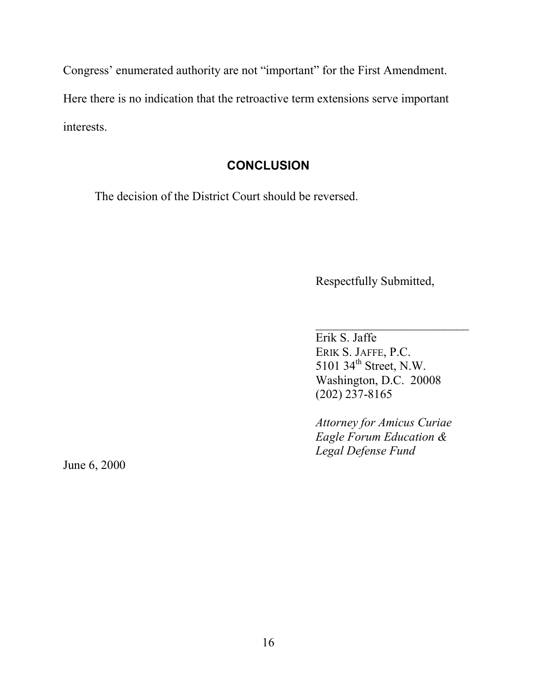<span id="page-19-0"></span>Congress' enumerated authority are not "important" for the First Amendment. Here there is no indication that the retroactive term extensions serve important interests.

## **CONCLUSION**

The decision of the District Court should be reversed.

Respectfully Submitted,

 $\overline{\phantom{a}}$  , where  $\overline{\phantom{a}}$  , where  $\overline{\phantom{a}}$  ,  $\overline{\phantom{a}}$  ,  $\overline{\phantom{a}}$  ,  $\overline{\phantom{a}}$  ,  $\overline{\phantom{a}}$  ,  $\overline{\phantom{a}}$  ,  $\overline{\phantom{a}}$  ,  $\overline{\phantom{a}}$  ,  $\overline{\phantom{a}}$  ,  $\overline{\phantom{a}}$  ,  $\overline{\phantom{a}}$  ,  $\overline{\phantom{a}}$  ,  $\overline{\phantom{a}}$  , Erik S. Jaffe ERIK S. JAFFE, P.C. 5101 34<sup>th</sup> Street, N.W. Washington, D.C. 20008 (202) 237-8165

*Attorney for Amicus Curiae Eagle Forum Education & Legal Defense Fund*

June 6, 2000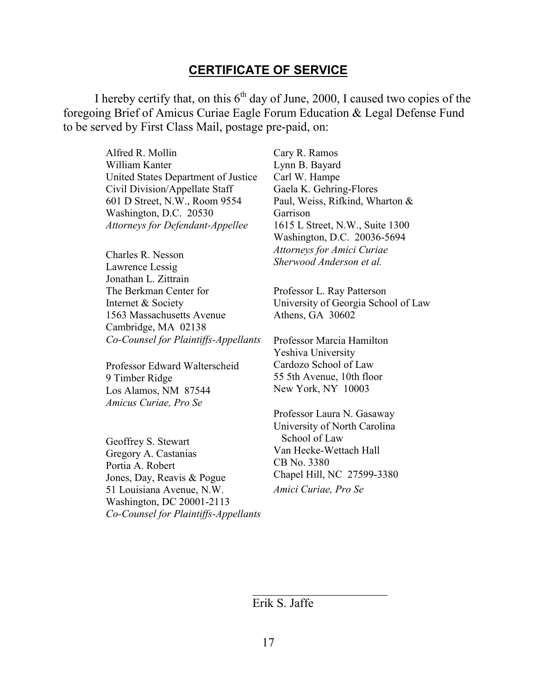#### **CERTIFICATE OF SERVICE**

I hereby certify that, on this  $6<sup>th</sup>$  day of June, 2000, I caused two copies of the foregoing Brief of Amicus Curiae Eagle Forum Education & Legal Defense Fund to be served by First Class Mail, postage pre-paid, on:

> Alfred R. Mollin William Kanter United States Department of Justice Civil Division/Appellate Staff 601 D Street, N.W., Room 9554 Washington, D.C. 20530 *Attorneys for Defendant-Appellee*

Charles R. Nesson Lawrence Lessig Jonathan L. Zittrain The Berkman Center for Internet & Society 1563 Massachusetts Avenue Cambridge, MA 02138 *Co-Counsel for Plaintiffs-Appellants*

Professor Edward Walterscheid 9 Timber Ridge Los Alamos, NM 87544 *Amicus Curiae, Pro Se*

Geoffrey S. Stewart Gregory A. Castanias Portia A. Robert Jones, Day, Reavis & Pogue 51 Louisiana Avenue, N.W. Washington, DC 20001-2113 *Co-Counsel for Plaintiffs-Appellants*

Cary R. Ramos Lynn B. Bayard Carl W. Hampe Gaela K. Gehring-Flores Paul, Weiss, Rifkind, Wharton & Garrison 1615 L Street, N.W., Suite 1300 Washington, D.C. 20036-5694 *Attorneys for Amici Curiae Sherwood Anderson et al.*

Professor L. Ray Patterson University of Georgia School of Law Athens, GA 30602

Professor Marcia Hamilton Yeshiva University Cardozo School of Law 55 5th Avenue, 10th floor New York, NY 10003

Professor Laura N. Gasaway University of North Carolina School of Law Van Hecke-Wettach Hall CB No. 3380 Chapel Hill, NC 27599-3380 *Amici Curiae, Pro Se*

Erik S. Jaffe

 $\overline{\phantom{a}}$  , where  $\overline{\phantom{a}}$